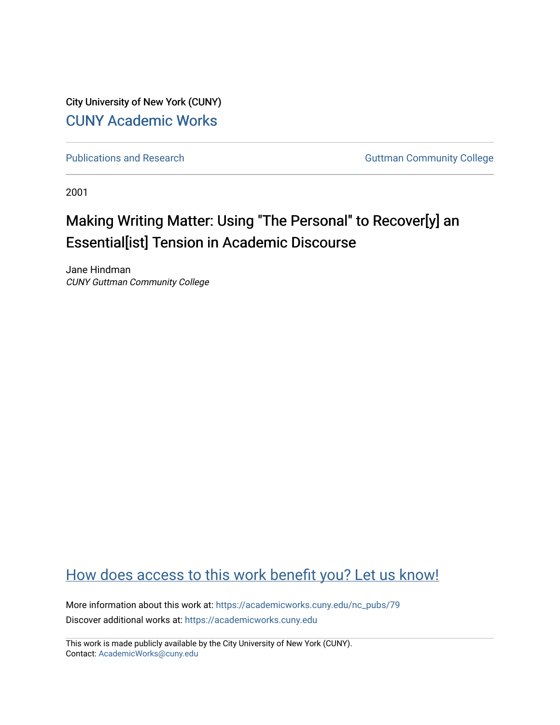City University of New York (CUNY) [CUNY Academic Works](https://academicworks.cuny.edu/) 

[Publications and Research](https://academicworks.cuny.edu/nc_pubs) **Guttman Community College** 

2001

# Making Writing Matter: Using "The Personal" to Recover[y] an Essential[ist] Tension in Academic Discourse

Jane Hindman CUNY Guttman Community College

### [How does access to this work benefit you? Let us know!](http://ols.cuny.edu/academicworks/?ref=https://academicworks.cuny.edu/nc_pubs/79)

More information about this work at: [https://academicworks.cuny.edu/nc\\_pubs/79](https://academicworks.cuny.edu/nc_pubs/79)  Discover additional works at: [https://academicworks.cuny.edu](https://academicworks.cuny.edu/?)

This work is made publicly available by the City University of New York (CUNY). Contact: [AcademicWorks@cuny.edu](mailto:AcademicWorks@cuny.edu)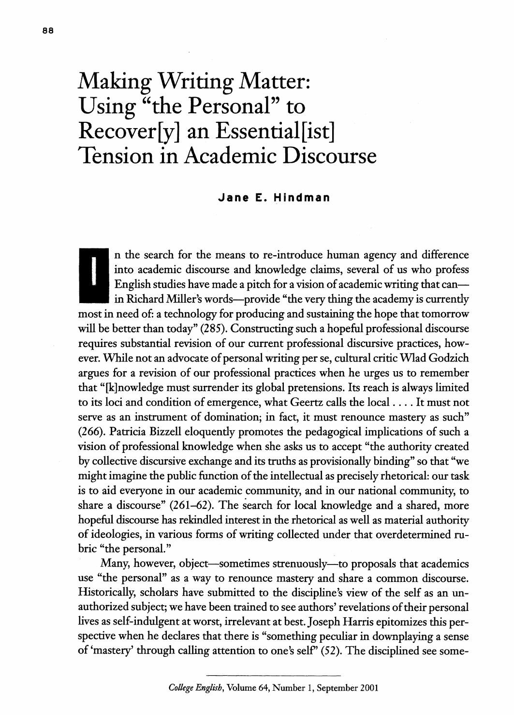# Making Writing Matter: Using "the Personal" to Recover[y] an Essential[ist] Tension in Academic Discourse

Jane E. Hindman

 n the search for the means to re-introduce human agency and difference into academic discourse and knowledge claims, several of us who profess English studies have made a pitch for a vision of academic writing that can in Richard Miller's words—provide "the very thing the academy is currently most in need of: a technology for producing and sustaining the hope that tomorrow will be better than today" (285). Constructing such a hopeful professional discourse requires substantial revision of our current professional discursive practices, how ever. While not an advocate of personal writing per se, cultural critic Wlad Godzich argues for a revision of our professional practices when he urges us to remember that "[k]nowledge must surrender its global pretensions. Its reach is always limited to its loci and condition of emergence, what Geertz calls the local .... It must not serve as an instrument of domination; in fact, it must renounce mastery as such" (266). Patricia Bizzell eloquently promotes the pedagogical implications of such a vision of professional knowledge when she asks us to accept "the authority created by collective discursive exchange and its truths as provisionally binding" so that "we might imagine the public function of the intellectual as precisely rhetorical: our task is to aid everyone in our academic community, and in our national community, to share a discourse" (261-62). The search for local knowledge and a shared, more hopeful discourse has rekindled interest in the rhetorical as well as material authority of ideologies, in various forms of writing collected under that overdetermined ru bric "the personal."

Many, however, object-sometimes strenuously-to proposals that academics use "the personal" as a way to renounce mastery and share a common discourse. Historically, scholars have submitted to the discipline's view of the self as an un authorized subject; we have been trained to see authors' revelations of their personal lives as self-indulgent at worst, irrelevant at best. Joseph Harris epitomizes this per spective when he declares that there is "something peculiar in downplaying a sense of 'mastery' through calling attention to one's self' (52). The disciplined see some-

College English, Volume 64, Number 1, September 2001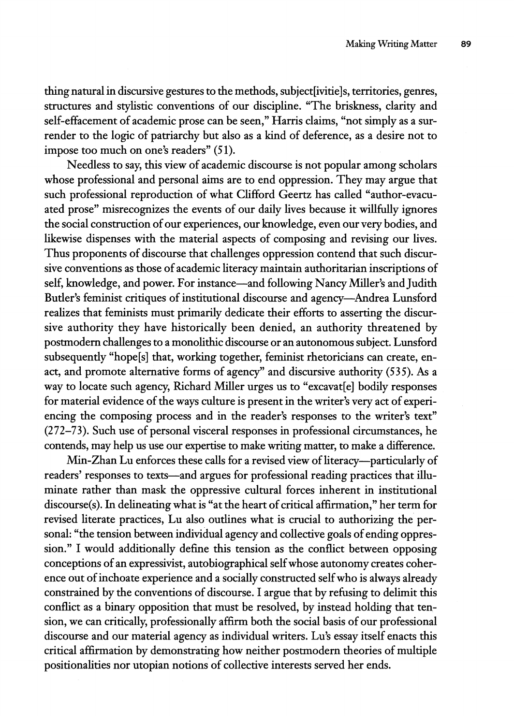thing natural in discursive gestures to the methods, subject[ivitie]s, territories, genres, structures and stylistic conventions of our discipline. "The briskness, clarity and self-effacement of academic prose can be seen," Harris claims, "not simply as a sur render to the logic of patriarchy but also as a kind of deference, as a desire not to impose too much on one's readers" (51).

 Needless to say, this view of academic discourse is not popular among scholars whose professional and personal aims are to end oppression. They may argue that such professional reproduction of what Clifford Geertz has called "author-evacu ated prose" misrecognizes the events of our daily lives because it willfully ignores the social construction of our experiences, our knowledge, even our very bodies, and likewise dispenses with the material aspects of composing and revising our lives. Thus proponents of discourse that challenges oppression contend that such discur sive conventions as those of academic literacy maintain authoritarian inscriptions of self, knowledge, and power. For instance-and following Nancy Miller's and Judith Butler's feminist critiques of institutional discourse and agency-Andrea Lunsford realizes that feminists must primarily dedicate their efforts to asserting the discur sive authority they have historically been denied, an authority threatened by postmodern challenges to a monolithic discourse or an autonomous subject. Lunsford subsequently "hope[s] that, working together, feminist rhetoricians can create, en act, and promote alternative forms of agency" and discursive authority (535). As a way to locate such agency, Richard Miller urges us to "excavat[e] bodily responses for material evidence of the ways culture is present in the writer's very act of experi encing the composing process and in the reader's responses to the writer's text" (272-73). Such use of personal visceral responses in professional circumstances, he contends, may help us use our expertise to make writing matter, to make a difference.

Min-Zhan Lu enforces these calls for a revised view of literacy--particularly of readers' responses to texts-and argues for professional reading practices that illu minate rather than mask the oppressive cultural forces inherent in institutional discourse(s). In delineating what is "at the heart of critical affirmation," her term for revised literate practices, Lu also outlines what is crucial to authorizing the per sonal: "the tension between individual agency and collective goals of ending oppres sion." I would additionally define this tension as the conflict between opposing conceptions of an expressivist, autobiographical self whose autonomy creates coher ence out of inchoate experience and a socially constructed self who is always already constrained by the conventions of discourse. I argue that by refusing to delimit this conflict as a binary opposition that must be resolved, by instead holding that ten sion, we can critically, professionally affirm both the social basis of our professional discourse and our material agency as individual writers. Lu's essay itself enacts this critical affirmation by demonstrating how neither postmodern theories of multiple positionalities nor utopian notions of collective interests served her ends.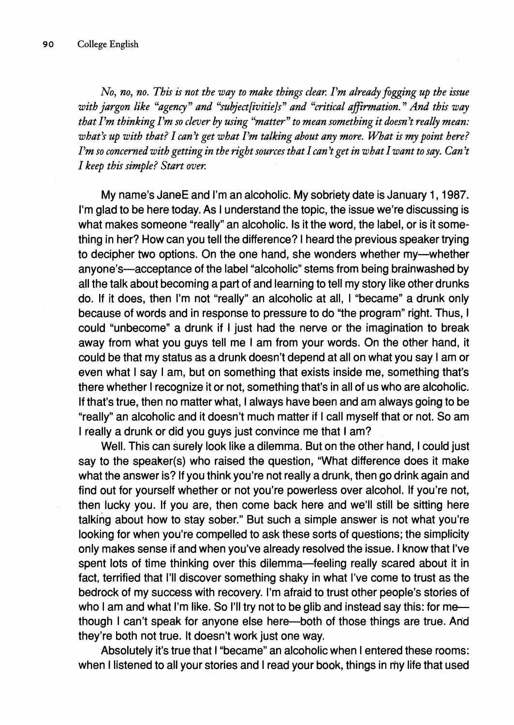No, no, no. This is not the way to make things clear I'm already fogging up the issue with jargon like "agency" and "subject *fivitie]s"* and "critical affirmation." And this way that I'm thinking I'm so clever by using "matter" to mean something it doesn't really mean: what's up with that? I can't get what I'm talking about any more. What is my point here? I'm so concerned with getting in the right sources that I can't get in what I want to say. Can't I keep this simple? Start over

 My name's JaneE and I'm an alcoholic. My sobriety date is January 1, 1987. I'm glad to be here today. As I understand the topic, the issue we're discussing is what makes someone "really" an alcoholic. Is it the word, the label, or is it some thing in her? How can you tell the difference? I heard the previous speaker trying to decipher two options. On the one hand, she wonders whether my-whether anyone's-acceptance of the label "alcoholic" stems from being brainwashed by all the talk about becoming a part of and learning to tell my story like other drunks do. If it does, then I'm not "really" an alcoholic at all, I "became" a drunk only because of words and in response to pressure to do "the program" right. Thus, I could "unbecome" a drunk if I just had the nerve or the imagination to break away from what you guys tell me I am from your words. On the other hand, it could be that my status as a drunk doesn't depend at all on what you say I am or even what I say I am, but on something that exists inside me, something that's there whether I recognize it or not, something that's in all of us who are alcoholic. If that's true, then no matter what, I always have been and am always going to be "really" an alcoholic and it doesn't much matter if I call myself that or not. So am I really a drunk or did you guys just convince me that I am?

 Well. This can surely look like a dilemma. But on the other hand, I could just say to the speaker(s) who raised the question, "What difference does it make what the answer is? If you think you're not really a drunk, then go drink again and find out for yourself whether or not you're powerless over alcohol. If you're not, then lucky you. If you are, then come back here and we'll still be sitting here talking about how to stay sober." But such a simple answer is not what you're looking for when you're compelled to ask these sorts of questions; the simplicity only makes sense if and when you've already resolved the issue. I know that I've spent lots of time thinking over this dilemma—feeling really scared about it in fact, terrified that I'll discover something shaky in what I've come to trust as the bedrock of my success with recovery. I'm afraid to trust other people's stories of who I am and what I'm like. So I'll try not to be glib and instead say this: for me though I can't speak for anyone else here-both of those things are true. And they're both not true. It doesn't work just one way.

 Absolutely it's true that I "became" an alcoholic when I entered these rooms: when I listened to all your stories and I read your book, things in my life that used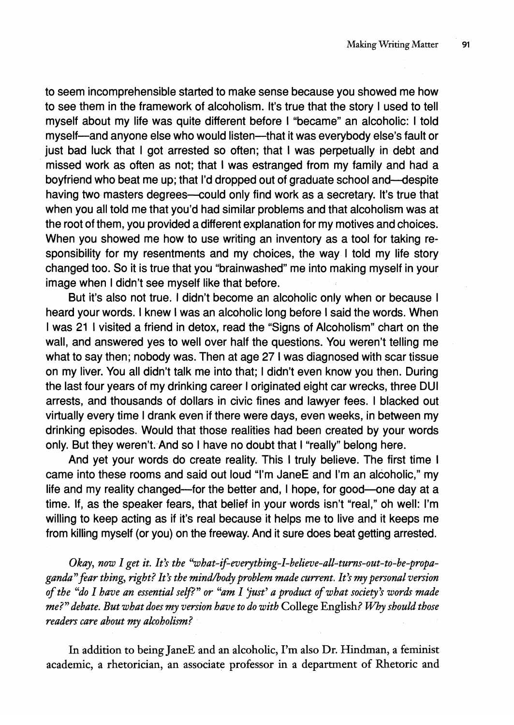to seem incomprehensible started to make sense because you showed me how to see them in the framework of alcoholism. It's true that the story I used to tell myself about my life was quite different before I "became" an alcoholic: I told myself-and anyone else who would listen---that it was everybody else's fault or just bad luck that I got arrested so often; that I was perpetually in debt and missed work as often as not; that I was estranged from my family and had a boyfriend who beat me up; that I'd dropped out of graduate school and-despite having two masters degrees-could only find work as a secretary. It's true that when you all told me that you'd had similar problems and that alcoholism was at the root of them, you provided a different explanation for my motives and choices. When you showed me how to use writing an inventory as a tool for taking re sponsibility for my resentments and my choices, the way I told my life story changed too. So it is true that you "brainwashed" me into making myself in your image when I didn't see myself like that before.

 But it's also not true. I didn't become an alcoholic only when or because I heard your words. I knew I was an alcoholic long before I said the words. When I was 21 I visited a friend in detox, read the "Signs of Alcoholism" chart on the wall, and answered yes to well over half the questions. You weren't telling me what to say then; nobody was. Then at age 27 I was diagnosed with scar tissue on my liver. You all didn't talk me into that; I didn't even know you then. During the last four years of my drinking career I originated eight car wrecks, three DUI arrests, and thousands of dollars in civic fines and lawyer fees. I blacked out virtually every time I drank even if there were days, even weeks, in between my drinking episodes. Would that those realities had been created by your words only. But they weren't. And so I have no doubt that I "really" belong here.

 And yet your words do create reality. This I truly believe. The first time I came into these rooms and said out loud "I'm JaneE and I'm an alcoholic," my life and my reality changed—for the better and, I hope, for good—one day at a time. If, as the speaker fears, that belief in your words isn't "real," oh well: I'm willing to keep acting as if it's real because it helps me to live and it keeps me from killing myself (or you) on the freeway. And it sure does beat getting arrested.

 Okay, now I get it. It's the "what-if-everything-I-believe-all-turns-out-to-be-propa ganda"fear thing, right? It's the mind/body problem made current. It's my personal version of the "do I have an essential self?" or "am I 'just' a product of what society's words made me?" debate. But what does my version have to do with College English? Why should those readers care about my alcoholism?

 In addition to being JaneE and an alcoholic, I'm also Dr. Hindman, a feminist academic, a rhetorician, an associate professor in a department of Rhetoric and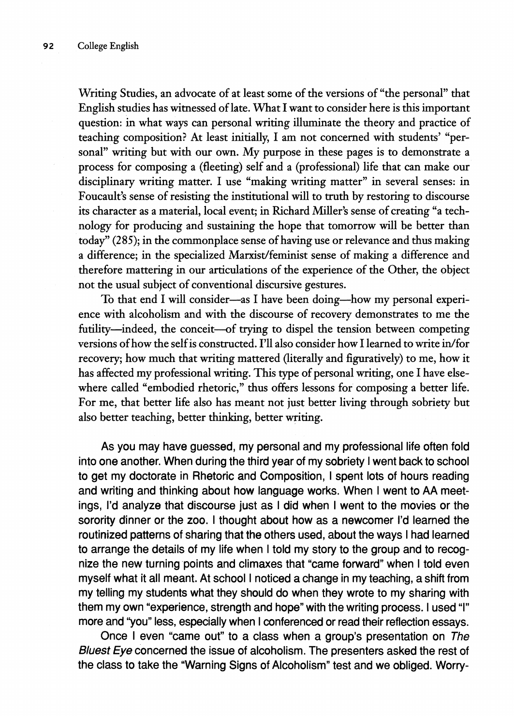Writing Studies, an advocate of at least some of the versions of "the personal" that English studies has witnessed of late. What I want to consider here is this important question: in what ways can personal writing illuminate the theory and practice of teaching composition? At least initially, I am not concerned with students' "per sonal" writing but with our own. My purpose in these pages is to demonstrate a process for composing a (fleeting) self and a (professional) life that can make our disciplinary writing matter. I use "making writing matter" in several senses: in Foucault's sense of resisting the institutional will to truth by restoring to discourse its character as a material, local event; in Richard Miller's sense of creating "a tech nology for producing and sustaining the hope that tomorrow will be better than today" (285); in the commonplace sense of having use or relevance and thus making a difference; in the specialized Marxist/feminist sense of making a difference and therefore mattering in our articulations of the experience of the Other, the object not the usual subject of conventional discursive gestures.

To that end I will consider—as I have been doing—how my personal experi ence with alcoholism and with the discourse of recovery demonstrates to me the futility-indeed, the conceit-of trying to dispel the tension between competing versions of how the self is constructed. I'll also consider how I learned to write in/for recovery; how much that writing mattered (literally and figuratively) to me, how it has affected my professional writing. This type of personal writing, one I have else where called "embodied rhetoric," thus offers lessons for composing a better life. For me, that better life also has meant not just better living through sobriety but also better teaching, better thinking, better writing.

 As you may have guessed, my personal and my professional life often fold into one another. When during the third year of my sobriety I went back to school to get my doctorate in Rhetoric and Composition, I spent lots of hours reading and writing and thinking about how language works. When I went to AA meet ings, I'd analyze that discourse just as I did when I went to the movies or the sorority dinner or the zoo. I thought about how as a newcomer I'd learned the routinized patterns of sharing that the others used, about the ways I had learned to arrange the details of my life when I told my story to the group and to recog nize the new turning points and climaxes that "came forward" when I told even myself what it all meant. At school I noticed a change in my teaching, a shift from my telling my students what they should do when they wrote to my sharing with them my own "experience, strength and hope" with the writing process. I used "I" more and "you" less, especially when I conferenced or read their reflection essays.

 Once I even "came out" to a class when a group's presentation on The Bluest Eye concerned the issue of alcoholism. The presenters asked the rest of the class to take the "Warning Signs of Alcoholism" test and we obliged. Worry-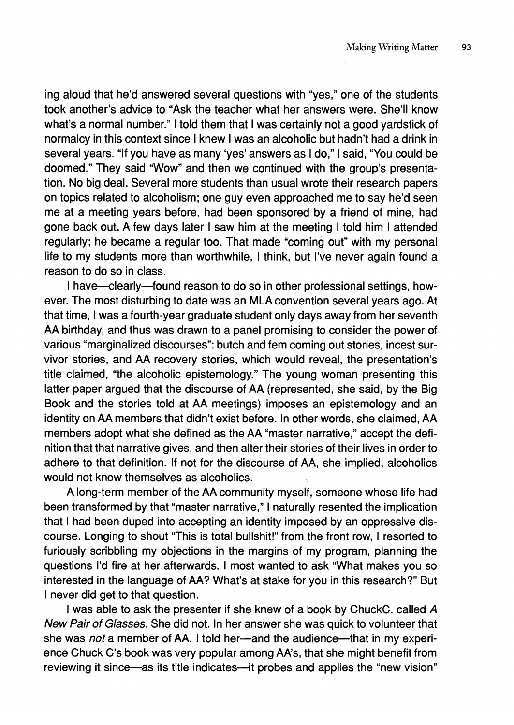ing aloud that he'd answered several questions with "yes," one of the students took another's advice to "Ask the teacher what her answers were. She'll know what's a normal number." I told them that I was certainly not a good yardstick of normalcy in this context since I knew I was an alcoholic but hadn't had a drink in several years. "If you have as many 'yes' answers as I do," I said, "You could be doomed." They said "Wow" and then we continued with the group's presenta tion. No big deal. Several more students than usual wrote their research papers on topics related to alcoholism; one guy even approached me to say he'd seen me at a meeting years before, had been sponsored by a friend of mine, had gone back out. A few days later I saw him at the meeting I told him I attended regularly; he became a regular too. That made "coming out" with my personal life to my students more than worthwhile, I think, but I've never again found a reason to do so in class.

I have-clearly-found reason to do so in other professional settings, how ever. The most disturbing to date was an MLA convention several years ago. At that time, I was a fourth-year graduate student only days away from her seventh AA birthday, and thus was drawn to a panel promising to consider the power of various "marginalized discourses": butch and fem coming out stories, incest sur vivor stories, and AA recovery stories, which would reveal, the presentation's title claimed, "the alcoholic epistemology." The young woman presenting this latter paper argued that the discourse of AA (represented, she said, by the Big Book and the stories told at AA meetings) imposes an epistemology and an identity on AA members that didn't exist before. In other words, she claimed, AA members adopt what she defined as the AA "master narrative," accept the defi nition that that narrative gives, and then alter their stories of their lives in order to adhere to that definition. If not for the discourse of AA, she implied, alcoholics would not know themselves as alcoholics.

 A long-term member of the AA community myself, someone whose life had been transformed by that "master narrative," I naturally resented the implication that I had been duped into accepting an identity imposed by an oppressive dis course. Longing to shout "This is total bullshit!" from the front row, I resorted to furiously scribbling my objections in the margins of my program, planning the questions I'd fire at her afterwards. I most wanted to ask "What makes you so interested in the language of AA? What's at stake for you in this research?" But I never did get to that question.

 I was able to ask the presenter if she knew of a book by ChuckC. called A New Pair of Glasses. She did not. In her answer she was quick to volunteer that she was not a member of AA. I told her—and the audience—that in my experi ence Chuck C's book was very popular among AA's, that she might benefit from reviewing it since-as its title indicates-it probes and applies the "new vision"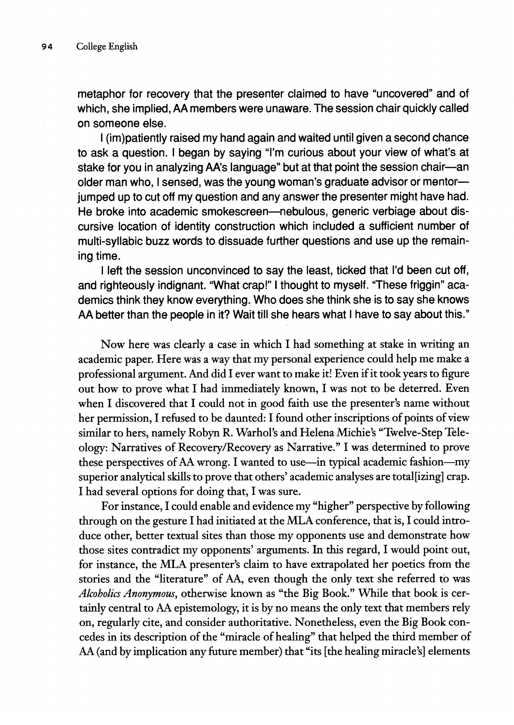metaphor for recovery that the presenter claimed to have "uncovered" and of which, she implied, AA members were unaware. The session chair quickly called on someone else.

 I (im)patiently raised my hand again and waited until given a second chance to ask a question. I began by saying "I'm curious about your view of what's at stake for you in analyzing AA's language" but at that point the session chair--- an older man who, I sensed, was the young woman's graduate advisor or mentor jumped up to cut off my question and any answer the presenter might have had. He broke into academic smokescreen-nebulous, generic verbiage about dis cursive location of identity construction which included a sufficient number of multi-syllabic buzz words to dissuade further questions and use up the remain ing time.

 I left the session unconvinced to say the least, ticked that I'd been cut off, and righteously indignant. "What crap!" I thought to myself. "These friggin" aca demics think they know everything. Who does she think she is to say she knows AA better than the people in it? Wait till she hears what I have to say about this."

 Now here was clearly a case in which I had something at stake in writing an academic paper. Here was a way that my personal experience could help me make a professional argument. And did I ever want to make it! Even if it took years to figure out how to prove what I had immediately known, I was not to be deterred. Even when I discovered that I could not in good faith use the presenter's name without her permission, I refused to be daunted: I found other inscriptions of points of view similar to hers, namely Robyn R. Warhol's and Helena Michie's "Twelve-Step Tele ology: Narratives of Recovery/Recovery as Narrative." I was determined to prove these perspectives of AA wrong. I wanted to use-in typical academic fashion--my superior analytical skills to prove that others' academic analyses are total[izing] crap. I had several options for doing that, I was sure.

 For instance, I could enable and evidence my "higher" perspective by following through on the gesture I had initiated at the MLA conference, that is, I could intro duce other, better textual sites than those my opponents use and demonstrate how those sites contradict my opponents' arguments. In this regard, I would point out, for instance, the MLA presenter's claim to have extrapolated her poetics from the stories and the "literature" of AA, even though the only text she referred to was Alcoholics Anonymous, otherwise known as "the Big Book." While that book is cer tainly central to AA epistemology, it is by no means the only text that members rely on, regularly cite, and consider authoritative. Nonetheless, even the Big Book con cedes in its description of the "miracle of healing" that helped the third member of AA (and by implication any future member) that "its [the healing miracle's] elements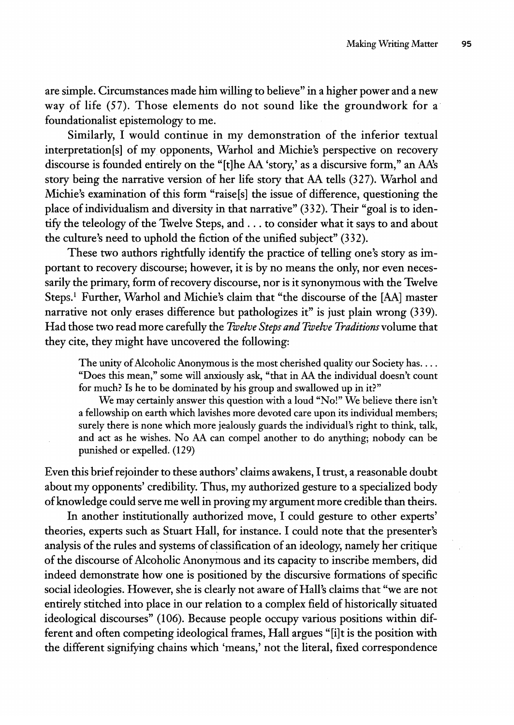are simple. Circumstances made him willing to believe" in a higher power and a new way of life (57). Those elements do not sound like the groundwork for a foundationalist epistemology to me.

 Similarly, I would continue in my demonstration of the inferior textual interpretation[s] of my opponents, Warhol and Michie's perspective on recovery discourse is founded entirely on the "[t]he AA 'story,' as a discursive form," an AA's story being the narrative version of her life story that AA tells (327). Warhol and Michie's examination of this form "raise[s] the issue of difference, questioning the place of individualism and diversity in that narrative" (332). Their "goal is to iden tify the teleology of the Twelve Steps, and ... to consider what it says to and about the culture's need to uphold the fiction of the unified subject" (332).

 These two authors rightfully identify the practice of telling one's story as im portant to recovery discourse; however, it is by no means the only, nor even neces sarily the primary, form of recovery discourse, nor is it synonymous with the Twelve Steps.1 Further, Warhol and Michie's claim that "the discourse of the [AA] master narrative not only erases difference but pathologizes it" is just plain wrong (339). Had those two read more carefully the Twelve Steps and Twelve Traditions volume that they cite, they might have uncovered the following:

The unity of Alcoholic Anonymous is the most cherished quality our Society has... "Does this mean," some will anxiously ask, "that in AA the individual doesn't count for much? Is he to be dominated by his group and swallowed up in it?"

 We may certainly answer this question with a loud "No!" We believe there isn't a fellowship on earth which lavishes more devoted care upon its individual members; surely there is none which more jealously guards the individual's right to think, talk, and act as he wishes. No AA can compel another to do anything; nobody can be punished or expelled. (129)

 Even this brief rejoinder to these authors' claims awakens, I trust, a reasonable doubt about my opponents' credibility. Thus, my authorized gesture to a specialized body of knowledge could serve me well in proving my argument more credible than theirs.

 In another institutionally authorized move, I could gesture to other experts' theories, experts such as Stuart Hall, for instance. I could note that the presenter's analysis of the rules and systems of classification of an ideology, namely her critique of the discourse of Alcoholic Anonymous and its capacity to inscribe members, did indeed demonstrate how one is positioned by the discursive formations of specific social ideologies. However, she is clearly not aware of Hall's claims that "we are not entirely stitched into place in our relation to a complex field of historically situated ideological discourses" (106). Because people occupy various positions within dif ferent and often competing ideological frames, Hall argues "[i]t is the position with the different signifying chains which 'means,' not the literal, fixed correspondence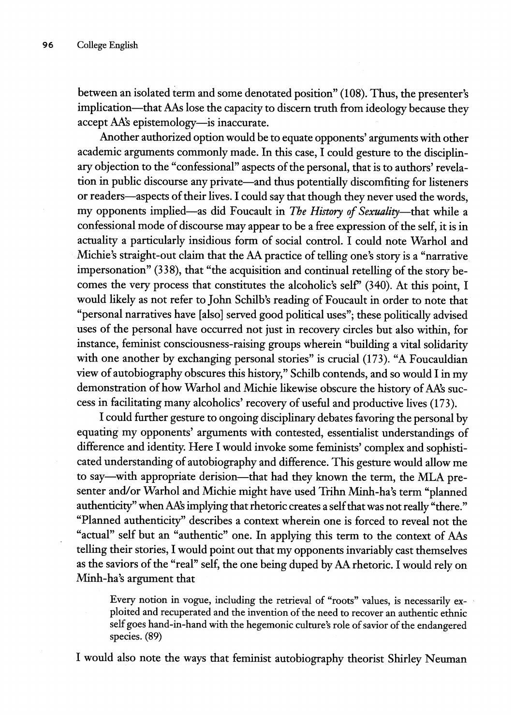between an isolated term and some denotated position" (108). Thus, the presenter's implication-that AAs lose the capacity to discern truth from ideology because they accept AA's epistemology—is inaccurate.

 Another authorized option would be to equate opponents' arguments with other academic arguments commonly made. In this case, I could gesture to the disciplin ary objection to the "confessional" aspects of the personal, that is to authors' revela tion in public discourse any private—and thus potentially discomfiting for listeners or readers-aspects of their lives. I could say that though they never used the words, my opponents implied-as did Foucault in The History of Sexuality-that while a confessional mode of discourse may appear to be a free expression of the self, it is in actuality a particularly insidious form of social control. I could note Warhol and Michie's straight-out claim that the AA practice of telling one's story is a "narrative impersonation" (338), that "the acquisition and continual retelling of the story be comes the very process that constitutes the alcoholic's self' (340). At this point, I would likely as not refer to John Schilb's reading of Foucault in order to note that "personal narratives have [also] served good political uses"; these politically advised uses of the personal have occurred not just in recovery circles but also within, for instance, feminist consciousness-raising groups wherein "building a vital solidarity with one another by exchanging personal stories" is crucial (173). "A Foucauldian view of autobiography obscures this history," Schilb contends, and so would I in my demonstration of how Warhol and Michie likewise obscure the history of AA's suc cess in facilitating many alcoholics' recovery of useful and productive lives (173).

 I could further gesture to ongoing disciplinary debates favoring the personal by equating my opponents' arguments with contested, essentialist understandings of difference and identity. Here I would invoke some feminists' complex and sophisti cated understanding of autobiography and difference. This gesture would allow me to say-with appropriate derision-that had they known the term, the MLA pre senter and/or Warhol and Michie might have used Trihn Minh-ha's term "planned authenticity" when AA's implying that rhetoric creates a self that was not really "there." "Planned authenticity" describes a context wherein one is forced to reveal not the "actual" self but an "authentic" one. In applying this term to the context of AAs telling their stories, I would point out that my opponents invariably cast themselves as the saviors of the "real" self, the one being duped by AA rhetoric. I would rely on Minh-ha's argument that

 Every notion in vogue, including the retrieval of "roots" values, is necessarily ex ploited and recuperated and the invention of the need to recover an authentic ethnic self goes hand-in-hand with the hegemonic culture's role of savior of the endangered species. (89)

I would also note the ways that feminist autobiography theorist Shirley Neuman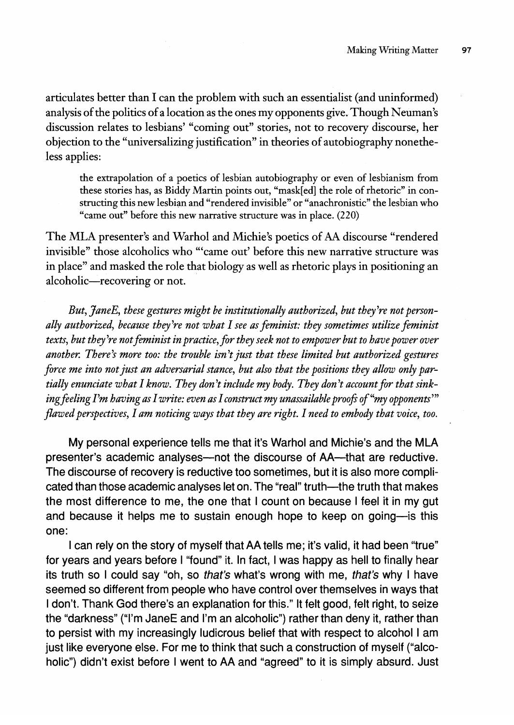articulates better than I can the problem with such an essentialist (and uninformed) analysis of the politics of a location as the ones my opponents give. Though Neuman's discussion relates to lesbians' "coming out" stories, not to recovery discourse, her objection to the "universalizing justification" in theories of autobiography nonethe less applies:

 the extrapolation of a poetics of lesbian autobiography or even of lesbianism from these stories has, as Biddy Martin points out, "mask[ed] the role of rhetoric" in con structing this new lesbian and "rendered invisible" or "anachronistic" the lesbian who "came out" before this new narrative structure was in place. (220)

 The MLA presenter's and Warhol and Michie's poetics of AA discourse "rendered invisible" those alcoholics who "'came out' before this new narrative structure was in place" and masked the role that biology as well as rhetoric plays in positioning an alcoholic-recovering or not.

But, JaneE, these gestures might be institutionally authorized, but they're not person ally authorized, because they're not what I see as feminist: they sometimes utilize feminist texts, but they're not feminist in practice, for they seek not to empower but to have power over another. There's more too: the trouble isn't just that these limited but authorized gestures force me into not just an adversarial stance, but also that the positions they allow only par tially enunciate what I know. They don't include my body. They don't account for that sinking feeling  $I<sup>m</sup>$  having as I write: even as I construct my unassailable proofs of "my opponents" flawed perspectives, I am noticing ways that they are right. I need to embody that voice, too.

 My personal experience tells me that it's Warhol and Michie's and the MLA presenter's academic analyses-not the discourse of AA-that are reductive. The discourse of recovery is reductive too sometimes, but it is also more compli cated than those academic analyses let on. The "real" truth-the truth that makes the most difference to me, the one that I count on because I feel it in my gut and because it helps me to sustain enough hope to keep on going-is this one:

I can rely on the story of myself that AA tells me; it's valid, it had been "true" for years and years before I "found" it. In fact, I was happy as hell to finally hear its truth so I could say "oh, so that's what's wrong with me, that's why I have seemed so different from people who have control over themselves in ways that I don't. Thank God there's an explanation for this." It felt good, felt right, to seize the "darkness" ("I'm JaneE and I'm an alcoholic") rather than deny it, rather than to persist with my increasingly ludicrous belief that with respect to alcohol I am just like everyone else. For me to think that such a construction of myself ("alco holic") didn't exist before I went to AA and "agreed" to it is simply absurd. Just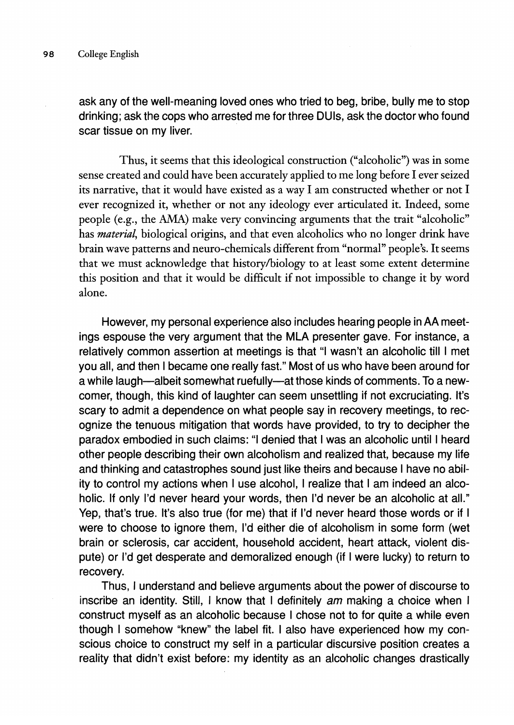ask any of the well-meaning loved ones who tried to beg, bribe, bully me to stop drinking; ask the cops who arrested me for three DUIs, ask the doctor who found scar tissue on my liver.

 Thus, it seems that this ideological construction ("alcoholic") was in some sense created and could have been accurately applied to me long before I ever seized its narrative, that it would have existed as a way I am constructed whether or not I ever recognized it, whether or not any ideology ever articulated it. Indeed, some people (e.g., the AMA) make very convincing arguments that the trait "alcoholic" has *material*, biological origins, and that even alcoholics who no longer drink have brain wave patterns and neuro-chemicals different from "normal" people's. It seems that we must acknowledge that history/biology to at least some extent determine this position and that it would be difficult if not impossible to change it by word alone.

 However, my personal experience also includes hearing people in AA meet ings espouse the very argument that the MLA presenter gave. For instance, a relatively common assertion at meetings is that "I wasn't an alcoholic till I met you all, and then I became one really fast." Most of us who have been around for a while laugh--albeit somewhat ruefully--at those kinds of comments. To a new comer, though, this kind of laughter can seem unsettling if not excruciating. It's scary to admit a dependence on what people say in recovery meetings, to rec ognize the tenuous mitigation that words have provided, to try to decipher the paradox embodied in such claims: "I denied that I was an alcoholic until I heard other people describing their own alcoholism and realized that, because my life and thinking and catastrophes sound just like theirs and because I have no abil ity to control my actions when I use alcohol, I realize that I am indeed an alco holic. If only I'd never heard your words, then I'd never be an alcoholic at all." Yep, that's true. It's also true (for me) that if I'd never heard those words or if I were to choose to ignore them, I'd either die of alcoholism in some form (wet brain or sclerosis, car accident, household accident, heart attack, violent dis pute) or I'd get desperate and demoralized enough (if I were lucky) to return to recovery.

 Thus, I understand and believe arguments about the power of discourse to inscribe an identity. Still, I know that I definitely am making a choice when I construct myself as an alcoholic because I chose not to for quite a while even though I somehow "knew" the label fit. I also have experienced how my con scious choice to construct my self in a particular discursive position creates a reality that didn't exist before: my identity as an alcoholic changes drastically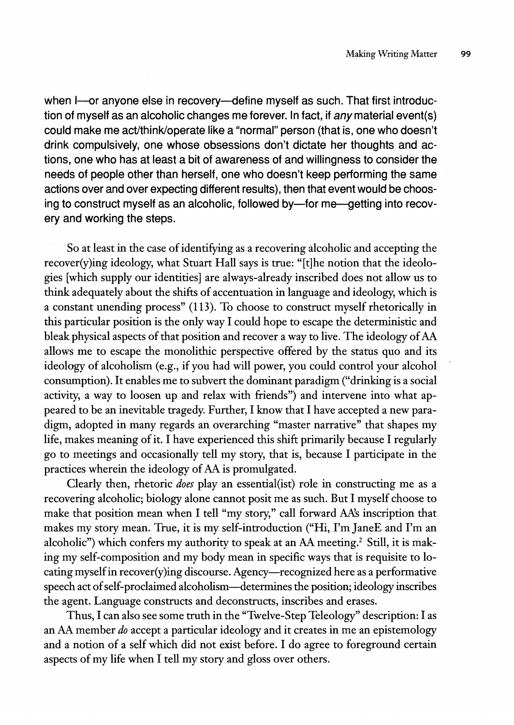when I-or anyone else in recovery-define myself as such. That first introduction of myself as an alcoholic changes me forever. In fact, if any material event(s) could make me act/think/operate like a "normal" person (that is, one who doesn't drink compulsively, one whose obsessions don't dictate her thoughts and ac tions, one who has at least a bit of awareness of and willingness to consider the needs of people other than herself, one who doesn't keep performing the same actions over and over expecting different results), then that event would be choos ing to construct myself as an alcoholic, followed by-for me-getting into recovery and working the steps.

 So at least in the case of identifying as a recovering alcoholic and accepting the recover(y)ing ideology, what Stuart Hall says is true: "[t]he notion that the ideolo gies [which supply our identities] are always-already inscribed does not allow us to think adequately about the shifts of accentuation in language and ideology, which is a constant unending process" (113). To choose to construct myself rhetorically in this particular position is the only way I could hope to escape the deterministic and bleak physical aspects of that position and recover a way to live. The ideology of AA allows me to escape the monolithic perspective offered by the status quo and its ideology of alcoholism (e.g., if you had will power, you could control your alcohol consumption). It enables me to subvert the dominant paradigm ("drinking is a social activity, a way to loosen up and relax with friends") and intervene into what ap peared to be an inevitable tragedy. Further, I know that I have accepted a new para digm, adopted in many regards an overarching "master narrative" that shapes my life, makes meaning of it. I have experienced this shift primarily because I regularly go to meetings and occasionally tell my story, that is, because I participate in the practices wherein the ideology of AA is promulgated.

 Clearly then, rhetoric does play an essential(ist) role in constructing me as a recovering alcoholic; biology alone cannot posit me as such. But I myself choose to make that position mean when I tell "my story," call forward AAs inscription that makes my story mean. True, it is my self-introduction ("Hi, I'm JaneE and I'm an alcoholic") which confers my authority to speak at an AA meeting.<sup>2</sup> Still, it is mak ing my self-composition and my body mean in specific ways that is requisite to lo cating myself in  $recover(y)$ ing discourse. Agency—recognized here as a performative speech act of self-proclaimed alcoholism-determines the position; ideology inscribes the agent. Language constructs and deconstructs, inscribes and erases.

 Thus, I can also see some truth in the "Twelve-Step Teleology" description: I as an AA member do accept a particular ideology and it creates in me an epistemology and a notion of a self which did not exist before. I do agree to foreground certain aspects of my life when I tell my story and gloss over others.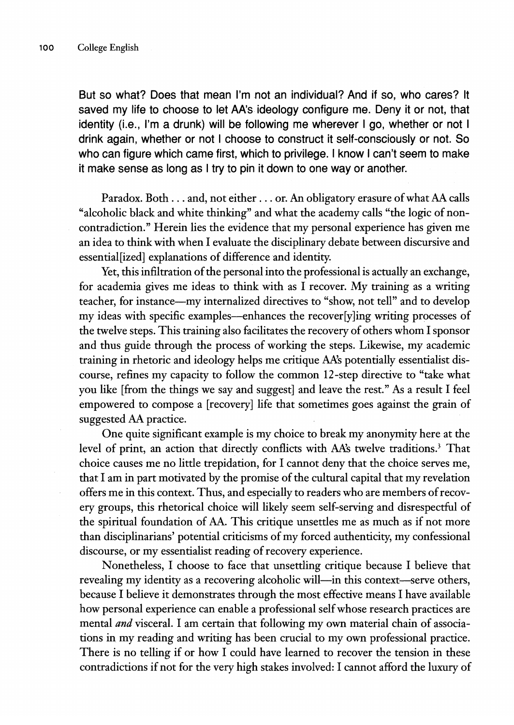But so what? Does that mean I'm not an individual? And if so, who cares? It saved my life to choose to let AA's ideology configure me. Deny it or not, that identity (i.e., I'm a drunk) will be following me wherever I go, whether or not I drink again, whether or not I choose to construct it self-consciously or not. So who can figure which came first, which to privilege. I know I can't seem to make it make sense as long as I try to pin it down to one way or another.

 Paradox. Both ... and, not either... or. An obligatory erasure of what AA calls "alcoholic black and white thinking" and what the academy calls "the logic of non contradiction." Herein lies the evidence that my personal experience has given me an idea to think with when I evaluate the disciplinary debate between discursive and essential[ized] explanations of difference and identity.

 Yet, this infiltration of the personal into the professional is actually an exchange, for academia gives me ideas to think with as I recover. My training as a writing teacher, for instance-my internalized directives to "show, not tell" and to develop my ideas with specific examples-enhances the recover[y]ing writing processes of the twelve steps. This training also facilitates the recovery of others whom I sponsor and thus guide through the process of working the steps. Likewise, my academic training in rhetoric and ideology helps me critique AA's potentially essentialist dis course, refines my capacity to follow the common 12-step directive to "take what you like [from the things we say and suggest] and leave the rest." As a result I feel empowered to compose a [recovery] life that sometimes goes against the grain of suggested AA practice.

 One quite significant example is my choice to break my anonymity here at the level of print, an action that directly conflicts with AA's twelve traditions.<sup>3</sup> That choice causes me no little trepidation, for I cannot deny that the choice serves me, that I am in part motivated by the promise of the cultural capital that my revelation offers me in this context. Thus, and especially to readers who are members of recov ery groups, this rhetorical choice will likely seem self-serving and disrespectful of the spiritual foundation of AA. This critique unsettles me as much as if not more than disciplinarians' potential criticisms of my forced authenticity, my confessional discourse, or my essentialist reading of recovery experience.

 Nonetheless, I choose to face that unsettling critique because I believe that revealing my identity as a recovering alcoholic will-in this context-serve others, because I believe it demonstrates through the most effective means I have available how personal experience can enable a professional self whose research practices are mental *and* visceral. I am certain that following my own material chain of associa tions in my reading and writing has been crucial to my own professional practice. There is no telling if or how I could have learned to recover the tension in these contradictions if not for the very high stakes involved: I cannot afford the luxury of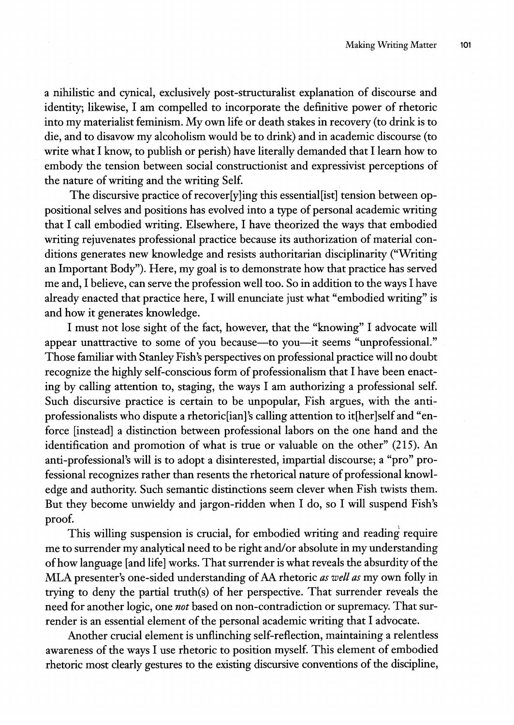a nihilistic and cynical, exclusively post-structuralist explanation of discourse and identity; likewise, I am compelled to incorporate the definitive power of rhetoric into my materialist feminism. My own life or death stakes in recovery (to drink is to die, and to disavow my alcoholism would be to drink) and in academic discourse (to write what I know, to publish or perish) have literally demanded that I learn how to embody the tension between social constructionist and expressivist perceptions of the nature of writing and the writing Self.

 The discursive practice of recover[y]ing this essential[ist] tension between op positional selves and positions has evolved into a type of personal academic writing that I call embodied writing. Elsewhere, I have theorized the ways that embodied writing rejuvenates professional practice because its authorization of material con ditions generates new knowledge and resists authoritarian disciplinarity ("Writing an Important Body"). Here, my goal is to demonstrate how that practice has served me and, I believe, can serve the profession well too. So in addition to the ways I have already enacted that practice here, I will enunciate just what "embodied writing" is and how it generates knowledge.

 I must not lose sight of the fact, however, that the "knowing" I advocate will appear unattractive to some of you because-to you-it seems "unprofessional." Those familiar with Stanley Fish's perspectives on professional practice will no doubt recognize the highly self-conscious form of professionalism that I have been enact ing by calling attention to, staging, the ways I am authorizing a professional self. Such discursive practice is certain to be unpopular, Fish argues, with the anti professionalists who dispute a rhetoric[ian]'s calling attention to it[her]self and "en force [instead] a distinction between professional labors on the one hand and the identification and promotion of what is true or valuable on the other" (215). An anti-professional's will is to adopt a disinterested, impartial discourse; a "pro" pro fessional recognizes rather than resents the rhetorical nature of professional knowl edge and authority. Such semantic distinctions seem clever when Fish twists them. But they become unwieldy and jargon-ridden when I do, so I will suspend Fish's proof.

 This willing suspension is crucial, for embodied writing and reading require me to surrender my analytical need to be right and/or absolute in my understanding of how language [and life] works. That surrender is what reveals the absurdity of the MLA presenter's one-sided understanding of AA rhetoric as well as my own folly in trying to deny the partial truth(s) of her perspective. That surrender reveals the need for another logic, one *not* based on non-contradiction or supremacy. That surrender is an essential element of the personal academic writing that I advocate.

 Another crucial element is unflinching self-reflection, maintaining a relentless awareness of the ways I use rhetoric to position myself. This element of embodied rhetoric most clearly gestures to the existing discursive conventions of the discipline,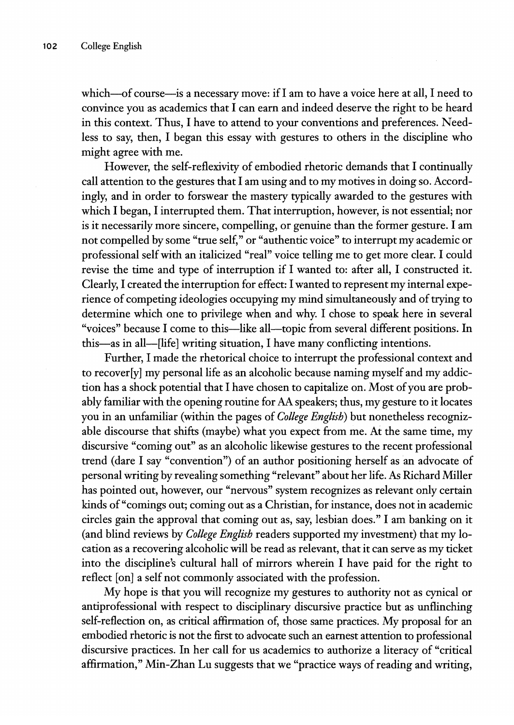which—of course—is a necessary move: if I am to have a voice here at all, I need to convince you as academics that I can earn and indeed deserve the right to be heard in this context. Thus, I have to attend to your conventions and preferences. Need less to say, then, I began this essay with gestures to others in the discipline who might agree with me.

 However, the self-reflexivity of embodied rhetoric demands that I continually call attention to the gestures that I am using and to my motives in doing so. Accord ingly, and in order to forswear the mastery typically awarded to the gestures with which I began, I interrupted them. That interruption, however, is not essential; nor is it necessarily more sincere, compelling, or genuine than the former gesture. I am not compelled by some "true self," or "authentic voice" to interrupt my academic or professional self with an italicized "real" voice telling me to get more clear. I could revise the time and type of interruption if I wanted to: after all, I constructed it. Clearly, I created the interruption for effect: I wanted to represent my internal expe rience of competing ideologies occupying my mind simultaneously and of trying to determine which one to privilege when and why. I chose to speak here in several "voices" because I come to this-like all-topic from several different positions. In this-as in all-[life] writing situation, I have many conflicting intentions.

 Further, I made the rhetorical choice to interrupt the professional context and to recover[y] my personal life as an alcoholic because naming myself and my addic tion has a shock potential that I have chosen to capitalize on. Most of you are prob ably familiar with the opening routine for AA speakers; thus, my gesture to it locates you in an unfamiliar (within the pages of *College English*) but nonetheless recogniz able discourse that shifts (maybe) what you expect from me. At the same time, my discursive "coming out" as an alcoholic likewise gestures to the recent professional trend (dare I say "convention") of an author positioning herself as an advocate of personal writing by revealing something "relevant" about her life. As Richard Miller has pointed out, however, our "nervous" system recognizes as relevant only certain kinds of "comings out; coming out as a Christian, for instance, does not in academic circles gain the approval that coming out as, say, lesbian does." I am banking on it (and blind reviews by *College English* readers supported my investment) that my lo cation as a recovering alcoholic will be read as relevant, that it can serve as my ticket into the discipline's cultural hall of mirrors wherein I have paid for the right to reflect [on] a self not commonly associated with the profession.

 My hope is that you will recognize my gestures to authority not as cynical or antiprofessional with respect to disciplinary discursive practice but as unflinching self-reflection on, as critical affirmation of, those same practices. My proposal for an embodied rhetoric is not the first to advocate such an earnest attention to professional discursive practices. In her call for us academics to authorize a literacy of "critical affirmation," Min-Zhan Lu suggests that we "practice ways of reading and writing,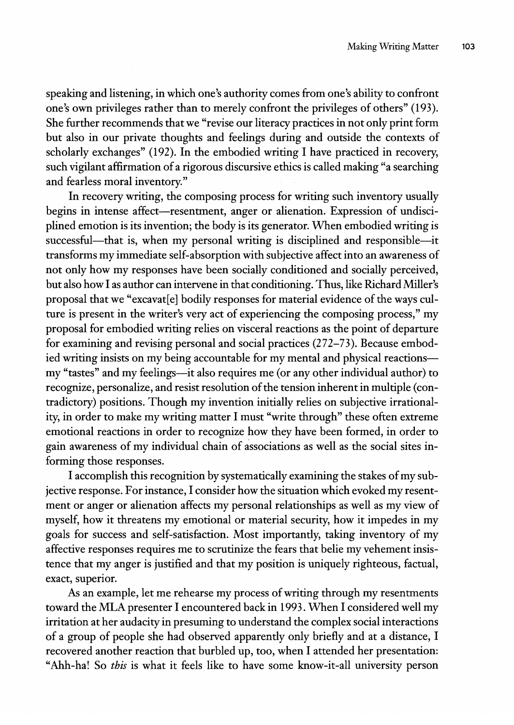speaking and listening, in which one's authority comes from one's ability to confront one's own privileges rather than to merely confront the privileges of others" (193). She further recommends that we "revise our literacy practices in not only print form but also in our private thoughts and feelings during and outside the contexts of scholarly exchanges" (192). In the embodied writing I have practiced in recovery, such vigilant affirmation of a rigorous discursive ethics is called making "a searching and fearless moral inventory."

 In recovery writing, the composing process for writing such inventory usually begins in intense affect—resentment, anger or alienation. Expression of undisci plined emotion is its invention; the body is its generator. When embodied writing is successful-that is, when my personal writing is disciplined and responsible-it transforms my immediate self-absorption with subjective affect into an awareness of not only how my responses have been socially conditioned and socially perceived, but also how I as author can intervene in that conditioning. Thus, like Richard Miller's proposal that we "excavat[e] bodily responses for material evidence of the ways cul ture is present in the writer's very act of experiencing the composing process," my proposal for embodied writing relies on visceral reactions as the point of departure for examining and revising personal and social practices (272-73). Because embod ied writing insists on my being accountable for my mental and physical reactions my "tastes" and my feelings-it also requires me (or any other individual author) to recognize, personalize, and resist resolution of the tension inherent in multiple (con tradictory) positions. Though my invention initially relies on subjective irrational ity, in order to make my writing matter I must "write through" these often extreme emotional reactions in order to recognize how they have been formed, in order to gain awareness of my individual chain of associations as well as the social sites in forming those responses.

 I accomplish this recognition by systematically examining the stakes of my sub jective response. For instance, I consider how the situation which evoked my resent ment or anger or alienation affects my personal relationships as well as my view of myself, how it threatens my emotional or material security, how it impedes in my goals for success and self-satisfaction. Most importantly, taking inventory of my affective responses requires me to scrutinize the fears that belie my vehement insis tence that my anger is justified and that my position is uniquely righteous, factual, exact, superior.

 As an example, let me rehearse my process of writing through my resentments toward the MLA presenter I encountered back in 1993. When I considered well my irritation at her audacity in presuming to understand the complex social interactions of a group of people she had observed apparently only briefly and at a distance, I recovered another reaction that burbled up, too, when I attended her presentation: "Ahh-ha! So this is what it feels like to have some know-it-all university person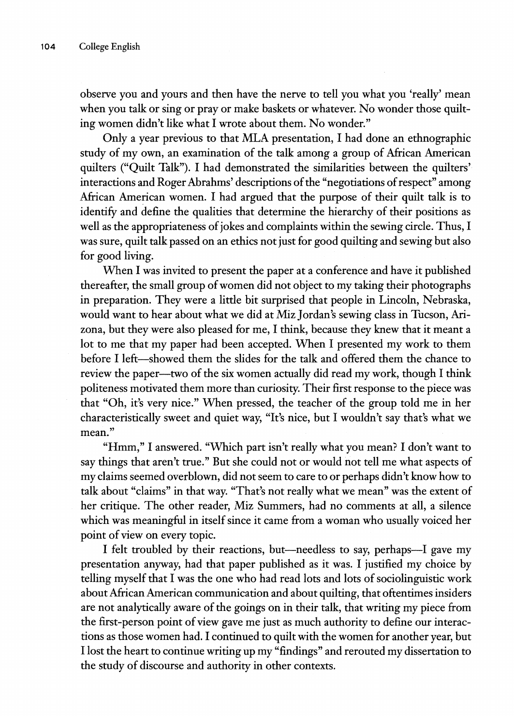observe you and yours and then have the nerve to tell you what you 'really' mean when you talk or sing or pray or make baskets or whatever. No wonder those quilt ing women didn't like what I wrote about them. No wonder."

 Only a year previous to that MLA presentation, I had done an ethnographic study of my own, an examination of the talk among a group of African American quilters ("Quilt Talk"). I had demonstrated the similarities between the quilters' interactions and Roger Abrahms' descriptions of the "negotiations of respect" among African American women. I had argued that the purpose of their quilt talk is to identify and define the qualities that determine the hierarchy of their positions as well as the appropriateness of jokes and complaints within the sewing circle. Thus, I was sure, quilt talk passed on an ethics not just for good quilting and sewing but also for good living.

 When I was invited to present the paper at a conference and have it published thereafter, the small group of women did not object to my taking their photographs in preparation. They were a little bit surprised that people in Lincoln, Nebraska, would want to hear about what we did at Miz Jordan's sewing class in Tucson, Ari zona, but they were also pleased for me, I think, because they knew that it meant a lot to me that my paper had been accepted. When I presented my work to them before I left-showed them the slides for the talk and offered them the chance to review the paper--two of the six women actually did read my work, though I think politeness motivated them more than curiosity. Their first response to the piece was that "Oh, it's very nice." When pressed, the teacher of the group told me in her characteristically sweet and quiet way, "It's nice, but I wouldn't say that's what we mean."

 "Hmm," I answered. "Which part isn't really what you mean? I don't want to say things that aren't true." But she could not or would not tell me what aspects of my claims seemed overblown, did not seem to care to or perhaps didn't know how to talk about "claims" in that way. "That's not really what we mean" was the extent of her critique. The other reader, Miz Summers, had no comments at all, a silence which was meaningful in itself since it came from a woman who usually voiced her point of view on every topic.

I felt troubled by their reactions, but—needless to say, perhaps—I gave my presentation anyway, had that paper published as it was. I justified my choice by telling myself that I was the one who had read lots and lots of sociolinguistic work about African American communication and about quilting, that oftentimes insiders are not analytically aware of the goings on in their talk, that writing my piece from the first-person point of view gave me just as much authority to define our interac tions as those women had. I continued to quilt with the women for another year, but I lost the heart to continue writing up my "findings" and rerouted my dissertation to the study of discourse and authority in other contexts.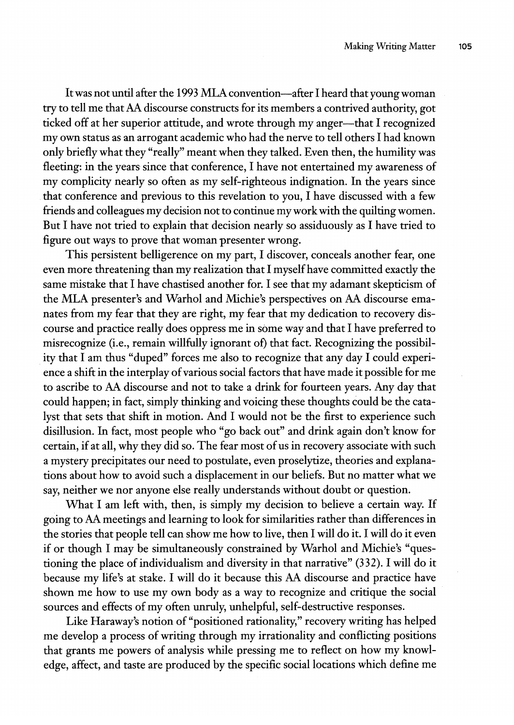It was not until after the 1993 MLA convention—after I heard that young woman try to tell me that AA discourse constructs for its members a contrived authority, got ticked off at her superior attitude, and wrote through my anger-that I recognized my own status as an arrogant academic who had the nerve to tell others I had known only briefly what they "really" meant when they talked. Even then, the humility was fleeting: in the years since that conference, I have not entertained my awareness of my complicity nearly so often as my self-righteous indignation. In the years since that conference and previous to this revelation to you, I have discussed with a few friends and colleagues my decision not to continue my work with the quilting women. But I have not tried to explain that decision nearly so assiduously as I have tried to figure out ways to prove that woman presenter wrong.

 This persistent belligerence on my part, I discover, conceals another fear, one even more threatening than my realization that I myself have committed exactly the same mistake that I have chastised another for. I see that my adamant skepticism of the MLA presenter's and Warhol and Michie's perspectives on AA discourse ema nates from my fear that they are right, my fear that my dedication to recovery dis course and practice really does oppress me in some way and that I have preferred to misrecognize (i.e., remain willfully ignorant of) that fact. Recognizing the possibil ity that I am thus "duped" forces me also to recognize that any day I could experi ence a shift in the interplay of various social factors that have made it possible for me to ascribe to AA discourse and not to take a drink for fourteen years. Any day that could happen; in fact, simply thinking and voicing these thoughts could be the cata lyst that sets that shift in motion. And I would not be the first to experience such disillusion. In fact, most people who "go back out" and drink again don't know for certain, if at all, why they did so. The fear most of us in recovery associate with such a mystery precipitates our need to postulate, even proselytize, theories and explana tions about how to avoid such a displacement in our beliefs. But no matter what we say, neither we nor anyone else really understands without doubt or question.

 What I am left with, then, is simply my decision to believe a certain way. If going to AA meetings and learning to look for similarities rather than differences in the stories that people tell can show me how to live, then I will do it. I will do it even if or though I may be simultaneously constrained by Warhol and Michie's "ques tioning the place of individualism and diversity in that narrative" (332). I will do it because my life's at stake. I will do it because this AA discourse and practice have shown me how to use my own body as a way to recognize and critique the social sources and effects of my often unruly, unhelpful, self-destructive responses.

 Like Haraway's notion of "positioned rationality," recovery writing has helped me develop a process of writing through my irrationality and conflicting positions that grants me powers of analysis while pressing me to reflect on how my knowl edge, affect, and taste are produced by the specific social locations which define me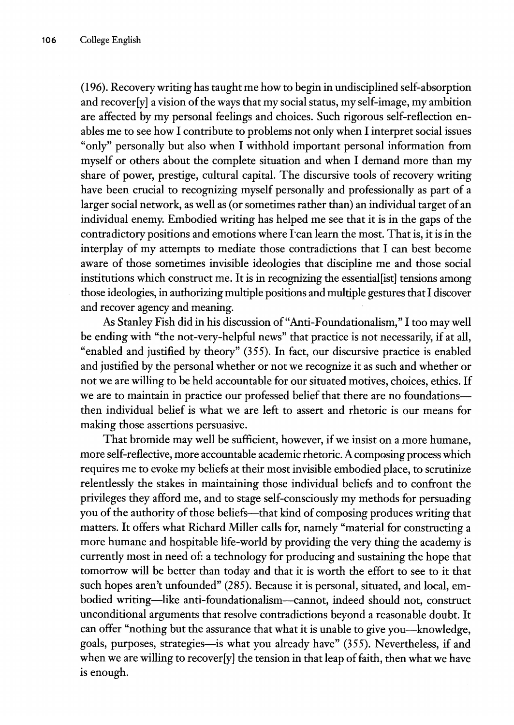(196). Recovery writing has taught me how to begin in undisciplined self-absorption and recover[y] a vision of the ways that my social status, my self-image, my ambition are affected by my personal feelings and choices. Such rigorous self-reflection en ables me to see how I contribute to problems not only when I interpret social issues "only" personally but also when I withhold important personal information from myself or others about the complete situation and when I demand more than my share of power, prestige, cultural capital. The discursive tools of recovery writing have been crucial to recognizing myself personally and professionally as part of a larger social network, as well as (or sometimes rather than) an individual target of an individual enemy. Embodied writing has helped me see that it is in the gaps of the contradictory positions and emotions where I-can learn the most. That is, it is in the interplay of my attempts to mediate those contradictions that I can best become aware of those sometimes invisible ideologies that discipline me and those social institutions which construct me. It is in recognizing the essential[ist] tensions among those ideologies, in authorizing multiple positions and multiple gestures that I discover and recover agency and meaning.

 As Stanley Fish did in his discussion of "Anti-Foundationalism," I too may well be ending with "the not-very-helpful news" that practice is not necessarily, if at all, "enabled and justified by theory" (355). In fact, our discursive practice is enabled and justified by the personal whether or not we recognize it as such and whether or not we are willing to be held accountable for our situated motives, choices, ethics. If we are to maintain in practice our professed belief that there are no foundations then individual belief is what we are left to assert and rhetoric is our means for making those assertions persuasive.

 That bromide may well be sufficient, however, if we insist on a more humane, more self-reflective, more accountable academic rhetoric. A composing process which requires me to evoke my beliefs at their most invisible embodied place, to scrutinize relentlessly the stakes in maintaining those individual beliefs and to confront the privileges they afford me, and to stage self-consciously my methods for persuading you of the authority of those beliefs—that kind of composing produces writing that matters. It offers what Richard Miller calls for, namely "material for constructing a more humane and hospitable life-world by providing the very thing the academy is currently most in need of: a technology for producing and sustaining the hope that tomorrow will be better than today and that it is worth the effort to see to it that such hopes aren't unfounded" (285). Because it is personal, situated, and local, em bodied writing-like anti-foundationalism-cannot, indeed should not, construct unconditional arguments that resolve contradictions beyond a reasonable doubt. It can offer "nothing but the assurance that what it is unable to give you—knowledge, goals, purposes, strategies-is what you already have" (355). Nevertheless, if and when we are willing to recover[y] the tension in that leap of faith, then what we have is enough.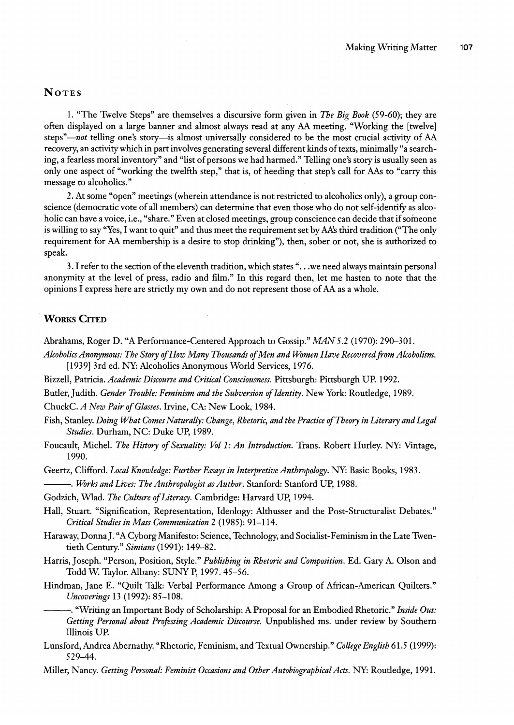#### **NOTES**

1. "The Twelve Steps" are themselves a discursive form given in The Big Book (59-60); they are often displayed on a large banner and almost always read at any AA meeting. "Working the [twelve] steps"-not telling one's story-is almost universally considered to be the most crucial activity of AA recovery, an activity which in part involves generating several different kinds of texts, minimally "a search ing, a fearless moral inventory" and "list of persons we had harmed." Telling one's story is usually seen as only one aspect of "working the twelfth step," that is, of heeding that step's call for AAs to "carry this message to alcoholics."

 2. At some "open" meetings (wherein attendance is not restricted to alcoholics only), a group con science (democratic vote of all members) can determine that even those who do not self-identify as alco holic can have a voice, i.e., "share." Even at closed meetings, group conscience can decide that if someone is willing to say "Yes, I want to quit" and thus meet the requirement set by AAs third tradition ("The only requirement for AA membership is a desire to stop drinking"), then, sober or not, she is authorized to speak.

 3. I refer to the section of the eleventh tradition, which states ".. .we need always maintain personal anonymity at the level of press, radio and film." In this regard then, let me hasten to note that the opinions I express here are strictly my own and do not represent those of AA as a whole.

#### WORKS CITED

Abrahams, Roger D. "A Performance-Centered Approach to Gossip." MAN 5.2 (1970): 290-301.

- Alcoholics Anonymous: The Story of How Many Thousands of Men and Women Have Recovered from Alcoholism. [1939] 3rd ed. NY: Alcoholics Anonymous World Services, 1976.
- Bizzell, Patricia. Academic Discourse and Critical Consciousness. Pittsburgh: Pittsburgh UP. 1992.

Butler, Judith. Gender Trouble: Feminism and the Subversion of Identity. New York: Routledge, 1989.

ChuckC. A New Pair of Glasses. Irvine, CA: New Look, 1984.

 Fish, Stanley. Doing What Comes Naturally: Change, Rhetoric, and the Practice of Theory in Literary and Legal Studies. Durham, NC: Duke UP, 1989.

 Foucault, Michel. The History of Sexuality: Vol 1: An Introduction. Trans. Robert Hurley. NY: Vintage, 1990.

Geertz, Clifford. Local Knowledge: Further Essays in Interpretive Anthropology. NY: Basic Books, 1983.

-. Works and Lives: The Anthropologist as Author. Stanford: Stanford UP, 1988.

Godzich, Wlad. The Culture of Literacy. Cambridge: Harvard UP, 1994.

- Hall, Stuart. "Signification, Representation, Ideology: Althusser and the Post-Structuralist Debates." Critical Studies in Mass Communication 2 (1985): 91-114.
- Haraway, DonnaJ. "A Cyborg Manifesto: Science, Technology, and Socialist-Feminism in the Late Twen tieth Century." Simians (1991): 149-82.
- Harris, Joseph. "Person, Position, Style." Publishing in Rhetoric and Composition. Ed. Gary A. Olson and Todd W. Taylor. Albany: SUNY P, 1997. 45-56.
- Hindman, Jane E. "Quilt Talk: Verbal Performance Among a Group of African-American Quilters." Uncoverings 13 (1992): 85-108.
- -. "Writing an Important Body of Scholarship: A Proposal for an Embodied Rhetoric." Inside Out: Getting Personal about Professing Academic Discourse. Unpublished ms. under review by Southern Illinois UP.
- Lunsford, Andrea Abernathy. "Rhetoric, Feminism, and Textual Ownership." College English 61.5 (1999): 529-44.
- Miller, Nancy. Getting Personal: Feminist Occasions and Other Autobiographical Acts. NY: Routledge, 1991.